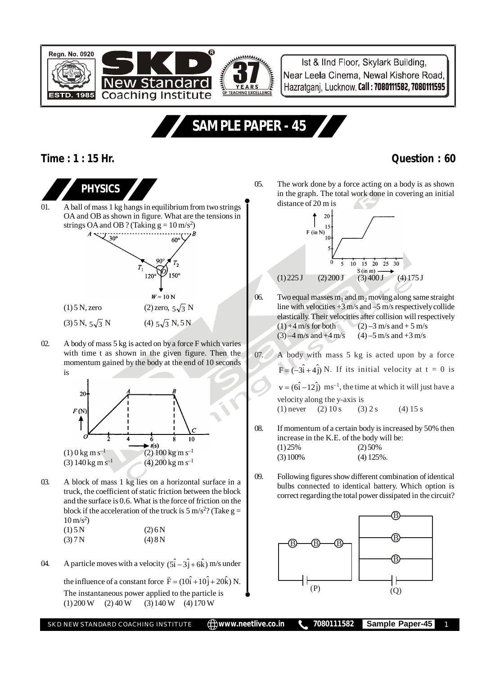

Ist & IInd Floor, Skylark Building, Near Leela Cinema, Newal Kishore Road, Hazratgani, Lucknow, Call: 7080111582, 7080111595

# **SAMPLE PAPER - 45**

### **Time : 1 : 15 Hr. Question : 60**



02. A body of mass 5 kg is acted on by a force F which varies with time t as shown in the given figure. Then the momentum gained by the body at the end of 10 seconds is



03. A block of mass 1 kg lies on a horizontal surface in a truck, the coefficient of static friction between the block and the surface is 0.6. What is the force of friction on the block if the acceleration of the truck is  $5 \text{ m/s}^2$ ? (Take  $g =$  $10 \,\mathrm{m/s^2}$ 

| (1) 5 N | (2) 6 N |
|---------|---------|
| (3) 7 N | (4) 8 N |

04. A particle moves with a velocity  $(5\hat{i} - 3\hat{j} + 6\hat{k})$  m/s under

the influence of a constant force  $\vec{F} = (10\hat{i} + 10\hat{j} + 20\hat{k})$ N. The instantaneous power applied to the particle is  $(1) 200 W$   $(2) 40 W$   $(3) 140 W$   $(4) 170 W$ 

05. The work done by a force acting on a body is as shown in the graph. The total work done in covering an initial distance of 20 m is



- 06. Two equal masses  $m_1$  and  $m_2$  moving along same straight line with velocities +3 m/s and –5 m/s respectively collide elastically. Their velocities after collision will respectively  $(1) +4$  m/s for both (2) –3 m/s and + 5 m/s  $(3) -4$  m/s and  $+4$  m/s (4) –5 m/s and  $+3$  m/s
- 07. A body with mass 5 kg is acted upon by a force

 $F = (-3\hat{i} + 4\hat{j})$  N. If its initial velocity at t = 0 is

 $v = (6\hat{i} - 12\hat{j})$  ms<sup>-1</sup>, the time at which it will just have a velocity along the y-axis is

(1) never (2)  $10 s$  (3)  $2 s$  (4)  $15 s$ 

- 08. If momentum of a certain body is increased by 50% then increase in the K.E. of the body will be:  $(1) 25\%$  (2) 50%  $(3) 100\%$   $(4) 125\%$ .
- 09. Following figures show different combination of identical bulbs connected to identical battery. Which option is correct regarding the total power dissipated in the circuit?

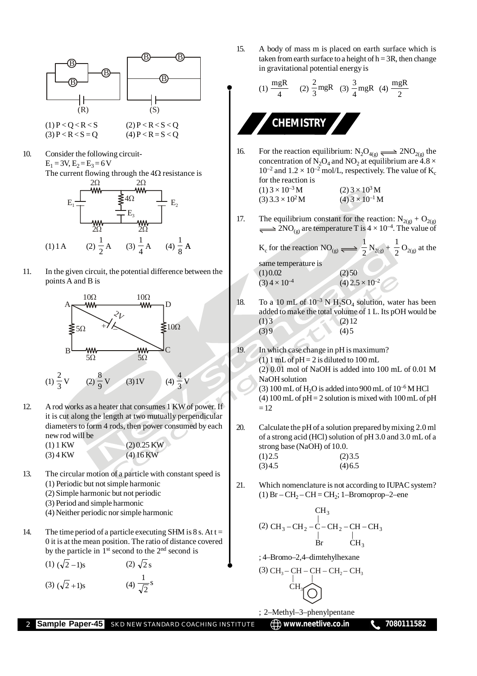

10. Consider the following circuit- $E_1 = 3V, E_2 = E_3 = 6V$ The current flowing through the  $4\Omega$  resistance is



11. In the given circuit, the potential difference between the points A and B is



12. A rod works as a heater that consumes 1 KW of power. If it is cut along the length at two mutually perpendicular diameters to form 4 rods, then power consumed by each new rod will be  $(1) 1 KW$  (2) 0.25 KW

(3) 4 KW (4) 16 KW

- 13. The circular motion of a particle with constant speed is (1) Periodic but not simple harmonic (2) Simple harmonic but not periodic
	- (3) Period and simple harmonic
	- (4) Neither periodic nor simple harmonic
- 14. The time period of a particle executing SHM is  $8 \text{ s}$ . At t = 0 it is at the mean position. The ratio of distance covered by the particle in 1<sup>st</sup> second to the 2<sup>nd</sup> second is

(1) 
$$
(\sqrt{2} - 1)s
$$
  
(2)  $\sqrt{2} s$   
(3)  $(\sqrt{2} + 1)s$   
(4)  $\frac{1}{\sqrt{2}}s$ 

15. A body of mass m is placed on earth surface which is taken from earth surface to a height of  $h = 3R$ , then change in gravitational potential energy is

(1) 
$$
\frac{mgR}{4}
$$
 (2)  $\frac{2}{3}$ mgR (3)  $\frac{3}{4}$ mgR (4)  $\frac{mgR}{2}$ 

- 16. For the reaction equilibrium:  $N_2O_{4(g)} \rightleftharpoons 2NO_{2(g)}$  the concentration of  $\rm N_2O_4$  and  $\rm NO_2$  at equilibrium are 4.8  $\times$  $10^{-2}$  and  $1.2 \times 10^{-2}$  mol/L, respectively. The value of K<sub>c</sub> for the reaction is
	- $(1)$  3 × 10<sup>-3</sup> M  $(2)$  3 × 10<sup>3</sup> M  $(3)$  3.3  $\times$  10<sup>2</sup> M  $(4)$  3  $\times$  10<sup>-1</sup> M
- 17. The equilibrium constant for the reaction:  $N_{2(g)} + O_{2(g)}$  $\implies$  2NO<sub>(g)</sub> are temperature T is  $4 \times 10^{-4}$ . The value of

K<sub>c</sub> for the reaction NO<sub>(g)</sub>  $\Longrightarrow \frac{1}{2}N_{2(g)} + \frac{1}{2}O_{2(g)}$  at the same temperature is  $(1)0.02$ <br> $(3)4 \times 10^{-4}$ (2) 50<br>(4)  $2.5 \times 10^{-2}$ 

- 18. To a 10 mL of  $10^{-3}$  N H<sub>2</sub>SO<sub>4</sub> solution, water has been added to make the total volume of 1 L. Its pOH would be  $(1) 3$  (2) 12  $(3)9$  (4) 5
- 19. In which case change in pH is maximum?  $(1) 1$  mL of pH = 2 is diluted to 100 mL  $(2)$  0.01 mol of NaOH is added into 100 mL of 0.01 M NaOH solution (3) 100 mL of  $H<sub>2</sub>O$  is added into 900 mL of  $10<sup>-6</sup>M$  HCl
	- (4)  $100 \text{ mL of } pH = 2$  solution is mixed with  $100 \text{ mL of } pH$  $= 12$
- 20. Calculate the pH of a solution prepared by mixing 2.0 ml of a strong acid (HCl) solution of pH 3.0 and 3.0 mL of a strong base (NaOH) of 10.0.

| (1)2.5 | (2)3.5    |
|--------|-----------|
| (3)4.5 | $(4)$ 6.5 |

21. Which nomenclature is not according to IUPAC system?  $(1)$  Br – CH<sub>2</sub> – CH = CH<sub>2</sub>; 1–Bromoprop–2–ene

(2) 3 3 2 2 3 3 Br CH | | CH CH C CH CH CH | CH 

; 4–Bromo–2,4–dimtehylhexane

$$
(3) \text{ CH}_3-\text{CH}-\text{CH}-\text{CH}_2-\text{CH}_3
$$
  
CH<sub>3</sub>

; 2–Methyl–3–phenylpentane

**Sample Paper-45** SKD NEW STANDARD COACHING INSTITUTE  $\bigoplus$  www.neetlive.co.in **1** 7080111582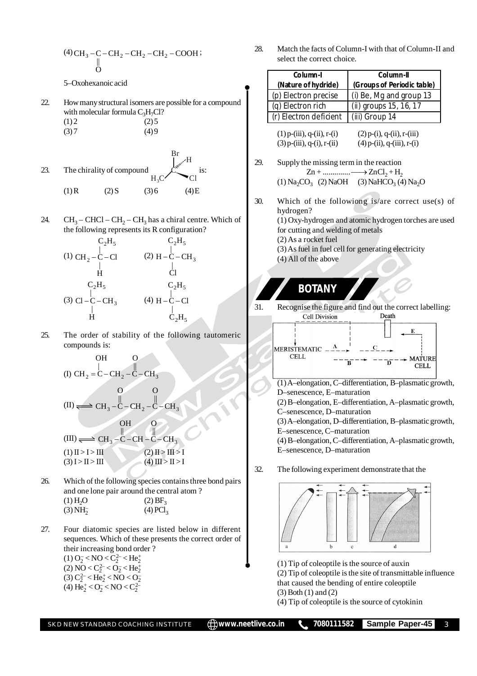$$
^{(4)}\text{CH}_3-\text{C}-\text{CH}_2-\text{CH}_2-\text{CH}_2-\text{COOH};
$$
  
0

5–Oxohexanoic acid

22. How many structural isomers are possible for a compound with molecular formula  $C_3H_7Cl$ ?  $(1) 2$  (2) 5  $(3) 7$  (4) 9



24. CH<sub>3</sub> – CHCl – CH<sub>2</sub> – CH<sub>3</sub> has a chiral centre. Which of the following represents its R configuration?



25. The order of stability of the following tautomeric compounds is:

\n
$$
\text{(I)} \quad \text{CH}_2 = \text{C} - \text{CH}_2 - \text{C} - \text{CH}_3
$$
\n

\n\n $\text{(II)} \rightleftharpoons \text{CH}_3 - \text{C} - \text{CH}_2 - \text{C} - \text{CH}_3$ \n

\n\n $\text{(II)} \rightleftharpoons \text{CH}_3 - \text{C} - \text{CH}_2 - \text{C} - \text{CH}_3$ \n

\n\n $\text{(III)} \rightleftharpoons \text{CH}_3 - \text{C} - \text{CH} - \text{C} - \text{CH}_3$ \n

\n\n $\text{(III)} \rightleftharpoons \text{CH}_3 - \text{C} - \text{CH} - \text{C} - \text{CH}_3$ \n

\n\n $\text{(I)} \quad \text{II} > \text{I} \quad \text{(2)} \quad \text{II} > \text{II} > \text{II}$ \n

\n\n $\text{(3)} \quad \text{I} > \text{II} > \text{II}$ \n

- 26. Which of the following species contains three bond pairs and one lone pair around the central atom ?  $(1)$  H<sub>2</sub>O (2) BF<sub>3</sub>  $(3) NH<sub>2</sub>$  $(4)$  PCl<sub>3</sub>
- 27. Four diatomic species are listed below in different sequences. Which of these presents the correct order of their increasing bond order ?  $(1)$  O<sub>2</sub> < NO < C<sub>2</sub><sup>2</sup> < He<sub>2</sub><sup>2</sup> (2) NO <  $C_2^2$  <  $O_2^-$  <  $He_2^+$  $(3) C<sub>2</sub><sup>2</sup> < He<sub>2</sub><sup>+</sup> < No <sub>2</sub>$ (4)  $He_2^+ < O_2^- < NO < C_2^2$

28. Match the facts of Column-I with that of Column-II and select the correct choice.

| Column-I               | Column-II                  |  |  |
|------------------------|----------------------------|--|--|
| (Nature of hydride)    | (Groups of Periodic table) |  |  |
| (p) Electron precise   | (i) Be, Mg and group 13    |  |  |
| (q) Electron rich      | (ii) groups 15, 16, 17     |  |  |
| (r) Electron deficient | (iii) Group 14             |  |  |
|                        |                            |  |  |

| $(1)$ p-(iii), q-(ii), r-(i) | $(2)$ p-(i), q-(ii), r-(iii) |
|------------------------------|------------------------------|
| $(3)$ p-(iii), q-(i), r-(ii) | $(4)$ p-(ii), q-(iii), r-(i) |

- 29. Supply the missing term in the reaction  $Zn + \dots + ZnCl_2 + H_2$ (1)  $Na_2CO_3$  (2)  $NaOH$  (3)  $NaHCO_3$  (4)  $Na_2O$
- 30. Which of the followiong is/are correct use(s) of hydrogen?

(1) Oxy-hydrogen and atomic hydrogen torches are used for cutting and welding of metals

- (2) As a rocket fuel
- (3) As fuel in fuel cell for generating electricity
- (4) All of the above

**BOTANY**

31. Recognise the figure and find out the correct labelling: Cell Division Death

$$
\begin{array}{|c|c|}\n\hline\n\downarrow & E \\
\hline\n\downarrow & \downarrow \\
\hline\n\text{MERISTEMATIC} & -\frac{A}{B} & -\frac{C}{D} & \rightarrow \text{ MATURE} \\
\hline\n\downarrow & -\frac{C}{B} & -\frac{C}{D} & \rightarrow \text{ MATURE} \\
\hline\n\end{array}
$$

(1) A–elongation, C–differentiation, B–plasmatic growth, D–senescence, E–maturation

(2) B–elongation, E–differentiation, A–plasmatic growth, C–senescence, D–maturation

(3) A–elongation, D–differentiation, B–plasmatic growth, E–senescence, C–maturation

(4) B–elongation, C–differentiation, A–plasmatic growth, E–senescence, D–maturation

32. The following experiment demonstrate that the



(1) Tip of coleoptile is the source of auxin (2) Tip of coleoptile is the site of transmittable influence that caused the bending of entire coleoptile (3) Both (1) and (2)

- 
- (4) Tip of coleoptile is the source of cytokinin

| <b>Mundom</b> Co.in<br>7080111582<br>Sample Paper-45<br>SKD NEW STANDARD COACHING INSTITUTE<br>37. |  |  |
|----------------------------------------------------------------------------------------------------|--|--|
|----------------------------------------------------------------------------------------------------|--|--|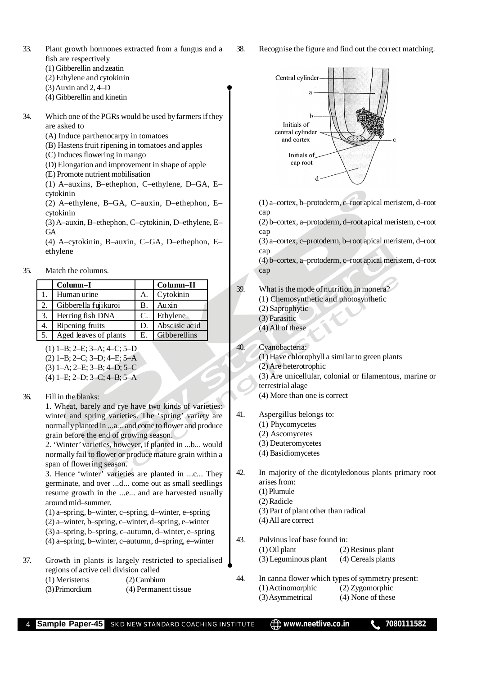- 33. Plant growth hormones extracted from a fungus and a fish are respectively
	- (1) Gibberellin and zeatin
	- (2) Ethylene and cytokinin
	- (3) Auxin and 2, 4–D
	- (4) Gibberellin and kinetin
- 34. Which one of the PGRs would be used by farmers if they are asked to
	- (A) Induce parthenocarpy in tomatoes
	- (B) Hastens fruit ripening in tomatoes and apples
	- (C) Induces flowering in mango
	- (D) Elongation and improvement in shape of apple
	- (E) Promote nutrient mobilisation

(1) A–auxins, B–ethephon, C–ethylene, D–GA, E– cytokinin

(2) A–ethylene, B–GA, C–auxin, D–ethephon, E– cytokinin

(3) A–auxin, B–ethephon, C–cytokinin, D–ethylene, E– **GA** 

(4) A–cytokinin, B–auxin, C–GA, D–ethephon, E– ethylene

#### 35. Match the columns.

|    | Column-I              |    | Column-II     |
|----|-----------------------|----|---------------|
|    | Human urine           | A. | Cytokinin     |
| 2. | Gibberella fujikuroi  | В. | Auxin         |
| 3. | Herring fish DNA      | C. | Ethylene      |
| 4. | Ripening fruits       | D. | Abscisic acid |
| 5. | Aged leaves of plants | Е. | Gibberellins  |

(1) 1–B; 2–E; 3–A; 4–C; 5–D

- $(2)$  1–B; 2–C; 3–D; 4–E; 5–A
- (3) 1–A; 2–E; 3–B; 4–D; 5–C
- (4) 1–E; 2–D; 3–C; 4–B; 5–A
- 36. Fill in the blanks:

1. Wheat, barely and rye have two kinds of varieties: winter and spring varieties. The 'spring' variety are normally planted in ...a... and come to flower and produce grain before the end of growing season.

2. 'Winter' varieties, however, if planted in ...b... would normally fail to flower or produce mature grain within a span of flowering season.

3. Hence 'winter' varieties are planted in ...c... They germinate, and over ...d... come out as small seedlings resume growth in the ...e... and are harvested usually around mid–summer.

(1) a–spring, b–winter, c–spring, d–winter, e–spring

- (2) a–winter, b–spring, c–winter, d–spring, e–winter
- (3) a–spring, b–spring, c–autumn, d–winter, e–spring

(4) a–spring, b–winter, c–autumn, d–spring, e–winter

37. Growth in plants is largely restricted to specialised regions of active cell division called (1) Meristems (2) Cambium

| (3) Primordium<br>(4) Permanent tissue |  |
|----------------------------------------|--|





(1) a–cortex, b–protoderm, c–root apical meristem, d–root cap

(2) b–cortex, a–protoderm, d–root apical meristem, c–root cap

(3) a–cortex, c–protoderm, b–root apical meristem, d–root cap

(4) b–cortex, a–protoderm, c–root apical meristem, d–root cap

- 39. What is the mode of nutrition in monera?
	- (1) Chemosynthetic and photosynthetic
	- (2) Saprophytic
	- (3) Parasitic
	- (4) All of these

40. Cyanobacteria:

(1) Have chlorophyll a similar to green plants

(2) Are heterotrophic

(3) Are unicellular, colonial or filamentous, marine or terrestrial alage

- (4) More than one is correct
- 41. Aspergillus belongs to:
	- (1) Phycomycetes
	- (2) Ascomycetes
	- (3) Deuteromycetes
	- (4) Basidiomycetes

42. In majority of the dicotyledonous plants primary root arises from:

- (1) Plumule
- (2) Radicle
- (3) Part of plant other than radical
- (4) All are correct
- 43. Pulvinus leaf base found in:
	- (1) Oil plant (2) Resinus plant
	- (3) Leguminous plant (4) Cereals plants
- 44. In canna flower which types of symmetry present: (1) Actinomorphic (2) Zygomorphic
	- (3) Asymmetrical (4) None of these
- **Sample Paper-45** SKD NEW STANDARD COACHING INSTITUTE  $\bigoplus$  www.neetlive.co.in **1** 7080111582